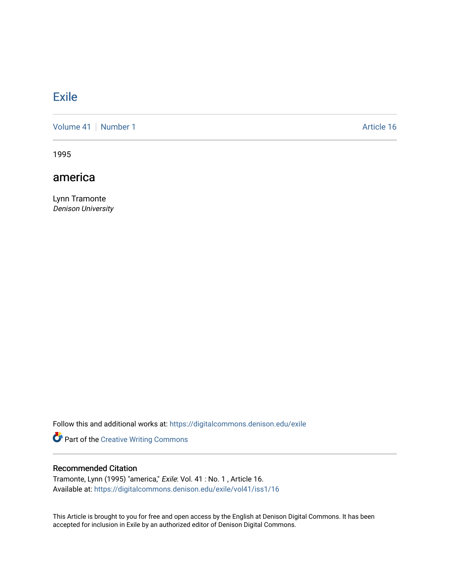## **[Exile](https://digitalcommons.denison.edu/exile)**

[Volume 41](https://digitalcommons.denison.edu/exile/vol41) | [Number 1](https://digitalcommons.denison.edu/exile/vol41/iss1) Article 16

1995

## america

Lynn Tramonte Denison University

Follow this and additional works at: [https://digitalcommons.denison.edu/exile](https://digitalcommons.denison.edu/exile?utm_source=digitalcommons.denison.edu%2Fexile%2Fvol41%2Fiss1%2F16&utm_medium=PDF&utm_campaign=PDFCoverPages) 

Part of the [Creative Writing Commons](http://network.bepress.com/hgg/discipline/574?utm_source=digitalcommons.denison.edu%2Fexile%2Fvol41%2Fiss1%2F16&utm_medium=PDF&utm_campaign=PDFCoverPages) 

## Recommended Citation

Tramonte, Lynn (1995) "america," Exile: Vol. 41 : No. 1 , Article 16. Available at: [https://digitalcommons.denison.edu/exile/vol41/iss1/16](https://digitalcommons.denison.edu/exile/vol41/iss1/16?utm_source=digitalcommons.denison.edu%2Fexile%2Fvol41%2Fiss1%2F16&utm_medium=PDF&utm_campaign=PDFCoverPages)

This Article is brought to you for free and open access by the English at Denison Digital Commons. It has been accepted for inclusion in Exile by an authorized editor of Denison Digital Commons.